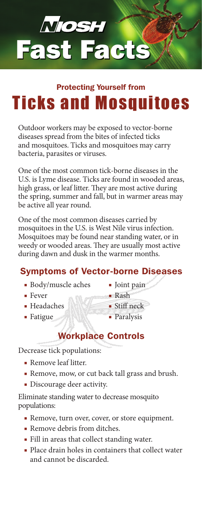

## Ticks and Mosquitoes Protecting Yourself from

Outdoor workers may be exposed to vector-borne diseases spread from the bites of infected ticks and mosquitoes. Ticks and mosquitoes may carry bacteria, parasites or viruses.

One of the most common tick-borne diseases in the U.S. is Lyme disease. Ticks are found in wooded areas, high grass, or leaf litter. They are most active during the spring, summer and fall, but in warmer areas may be active all year round.

One of the most common diseases carried by mosquitoes in the U.S. is West Nile virus infection. Mosquitoes may be found near standing water, or in weedy or wooded areas. They are usually most active during dawn and dusk in the warmer months.

## Symptoms of Vector-borne Diseases

- Body/muscle aches
- Fever
- Headaches
- Fatigue
- Joint pain
- Rash
- Stiff neck
- Paralysis

## Workplace Controls

Decrease tick populations:

- Remove leaf litter.
- Remove, mow, or cut back tall grass and brush.
- Discourage deer activity.

Eliminate standing water to decrease mosquito populations:

- Remove, turn over, cover, or store equipment.
- Remove debris from ditches.
- Fill in areas that collect standing water.
- Place drain holes in containers that collect water and cannot be discarded.